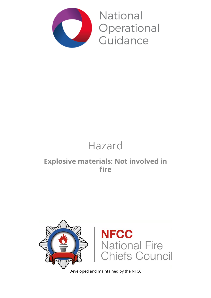

National Operational Guidance

# Hazard

### **Explosive materials: Not involved in fire**



Developed and maintained by the NFCC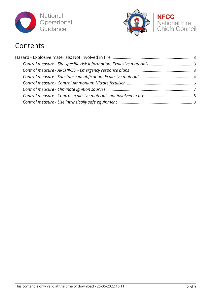



### Contents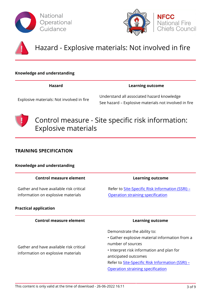





## Hazard - Explosive materials: Not involved in fire

#### **Knowledge and understanding**

#### **Hazard Learning outcome**

Explosive materials: Not involved in fire

Understand all associated hazard knowledge See hazard – Explosive materials not involved in fire



### Control measure - Site specific risk information: Explosive materials

#### **TRAINING SPECIFICATION**

| Knowledge and understanding                                                   |                                                                                                                                                                                                                                                                  |
|-------------------------------------------------------------------------------|------------------------------------------------------------------------------------------------------------------------------------------------------------------------------------------------------------------------------------------------------------------|
| <b>Control measure element</b>                                                | <b>Learning outcome</b>                                                                                                                                                                                                                                          |
| Gather and have available risk critical<br>information on explosive materials | Refer to Site-Specific Risk Information (SSRI) -<br>Operation straining specification                                                                                                                                                                            |
| <b>Practical application</b>                                                  |                                                                                                                                                                                                                                                                  |
| <b>Control measure element</b>                                                | <b>Learning outcome</b>                                                                                                                                                                                                                                          |
| Gather and have available risk critical<br>information on explosive materials | Demonstrate the ability to:<br>• Gather explosive material information from a<br>number of sources<br>• Interpret risk information and plan for<br>anticipated outcomes<br>Refer to Site-Specific Risk Information (SSRI) -<br>Operation straining specification |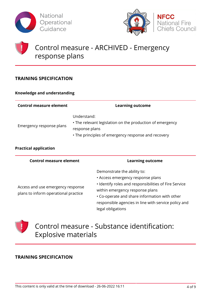



## Control measure - ARCHIVED - Emergency response plans

#### **TRAINING SPECIFICATION**

#### **Knowledge and understanding**

| Control measure element  | <b>Learning outcome</b>                                                                                                                           |
|--------------------------|---------------------------------------------------------------------------------------------------------------------------------------------------|
| Emergency response plans | Understand:<br>• The relevant legislation on the production of emergency<br>response plans<br>• The principles of emergency response and recovery |

#### **Practical application**

| <b>Control measure element</b>                                            | <b>Learning outcome</b>                                                                                                                                                                                                                                                                    |
|---------------------------------------------------------------------------|--------------------------------------------------------------------------------------------------------------------------------------------------------------------------------------------------------------------------------------------------------------------------------------------|
| Access and use emergency response<br>plans to inform operational practice | Demonstrate the ability to:<br>• Access emergency response plans<br>· Identify roles and responsibilities of Fire Service<br>within emergency response plans<br>• Co-operate and share information with other<br>responsible agencies in line with service policy and<br>legal obligations |



#### **TRAINING SPECIFICATION**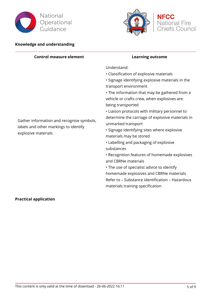



**NFCC**<br>National Fire<br>Chiefs Council

#### **Knowledge and understanding**

| <b>Control measure element</b>                                                                            | <b>Learning outcome</b>                                                                                                                                                                                                                                                                                                                                                                                                                                                                                                                                                                                                                                                                                                                                                        |
|-----------------------------------------------------------------------------------------------------------|--------------------------------------------------------------------------------------------------------------------------------------------------------------------------------------------------------------------------------------------------------------------------------------------------------------------------------------------------------------------------------------------------------------------------------------------------------------------------------------------------------------------------------------------------------------------------------------------------------------------------------------------------------------------------------------------------------------------------------------------------------------------------------|
| Gather information and recognise symbols,<br>labels and other markings to identify<br>explosive materials | Understand:<br>• Classification of explosive materials<br>• Signage identifying explosive materials in the<br>transport environment<br>• The information that may be gathered from a<br>vehicle or crafts crew, when explosives are<br>being transported<br>• Liaison protocols with military personnel to<br>determine the carriage of explosive materials in<br>unmarked transport<br>· Signage identifying sites where explosive<br>materials may be stored<br>• Labelling and packaging of explosive<br>substances<br>• Recognition features of homemade explosives<br>and CBRNe materials<br>• The use of specialist advice to identify<br>homemade explosives and CBRNe materials<br>Refer to - Substance identification - Hazardous<br>materials training specification |

#### **Practical application**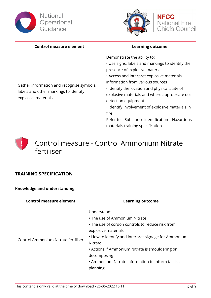





#### **Control measure element Learning outcome**

Gather information and recognise symbols,

labels and other markings to identify

explosive materials

Demonstrate the ability to:

- Use signs, labels and markings to identify the presence of explosive materials
- Access and interpret explosive materials information from various sources
- Identify the location and physical state of explosive materials and where appropriate use detection equipment
- Identify involvement of explosive materials in fire

Refer to – Substance identification – Hazardous materials training specification



### **TRAINING SPECIFICATION**

**Knowledge and understanding**

| <b>Control measure element</b>      | <b>Learning outcome</b>                                                                                                                                                                                                                                                                                                       |
|-------------------------------------|-------------------------------------------------------------------------------------------------------------------------------------------------------------------------------------------------------------------------------------------------------------------------------------------------------------------------------|
| Control Ammonium Nitrate fertiliser | Understand:<br>• The use of Ammonium Nitrate<br>• The use of cordon controls to reduce risk from<br>explosive materials<br>• How to identify and interpret signage for Ammonium<br>Nitrate<br>• Actions if Ammonium Nitrate is smouldering or<br>decomposing<br>• Ammonium Nitrate information to inform tactical<br>planning |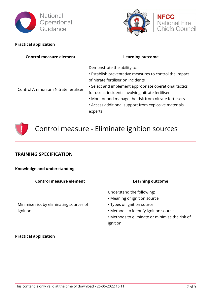



**NFCC** 

National Fire Chiefs Council

#### **Practical application**

| <b>Control measure element</b>      | <b>Learning outcome</b>                                                                                                                                                                                                                                                                                                                                                  |
|-------------------------------------|--------------------------------------------------------------------------------------------------------------------------------------------------------------------------------------------------------------------------------------------------------------------------------------------------------------------------------------------------------------------------|
| Control Ammonium Nitrate fertiliser | Demonstrate the ability to:<br>• Establish preventative measures to control the impact<br>of nitrate fertiliser on incidents<br>• Select and implement appropriate operational tactics<br>for use at incidents involving nitrate fertiliser<br>• Monitor and manage the risk from nitrate fertilisers<br>• Access additional support from explosive materials<br>experts |



## Control measure - Eliminate ignition sources

### **TRAINING SPECIFICATION**

| Knowledge and understanding                         |                                                                                                                                                                                         |
|-----------------------------------------------------|-----------------------------------------------------------------------------------------------------------------------------------------------------------------------------------------|
| Control measure element                             | <b>Learning outcome</b>                                                                                                                                                                 |
| Minimise risk by eliminating sources of<br>ignition | Understand the following:<br>• Meaning of ignition source<br>• Types of ignition source<br>• Methods to identify ignition sources<br>• Methods to eliminate or minimise the<br>ignition |

#### **Practical application**

risk of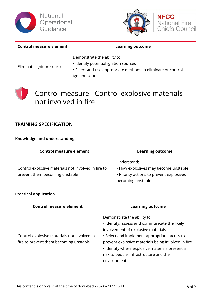





#### **Control measure element Learning outcome**

Demonstrate the ability to:

Eliminate ignition sources

- Identify potential ignition sources
- Select and use appropriate methods to eliminate or control ignition sources



Control measure - Control explosive materials not involved in fire

#### **TRAINING SPECIFICATION**

#### **Knowledge and understanding**

| <b>Control measure element</b>                                                        | <b>Learning outcome</b>                                                                                              |
|---------------------------------------------------------------------------------------|----------------------------------------------------------------------------------------------------------------------|
| Control explosive materials not involved in fire to<br>prevent them becoming unstable | Understand:<br>• How explosives may become unstable<br>• Priority actions to prevent explosives<br>becoming unstable |
| ractical application                                                                  |                                                                                                                      |

#### **Prac**

#### **Control measure element Learning outcome**

• Identify, assess and communicate the likely

Demonstrate the ability to:

Control explosive materials not involved in fire to prevent them becoming unstable

#### involvement of explosive materials • Select and implement appropriate tactics to prevent explosive materials being involved in fire • Identify where explosive materials present a risk to people, infrastructure and the environment